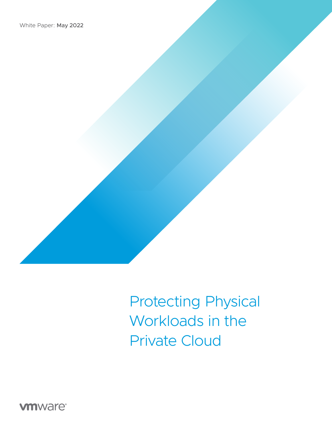

Protecting Physical Workloads in the Private Cloud

**vmware**®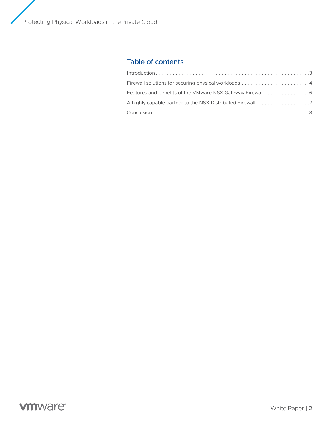Protecting Physical Workloads in thePrivate Cloud

# Table of contents

| A highly capable partner to the NSX Distributed Firewall7 |  |
|-----------------------------------------------------------|--|
|                                                           |  |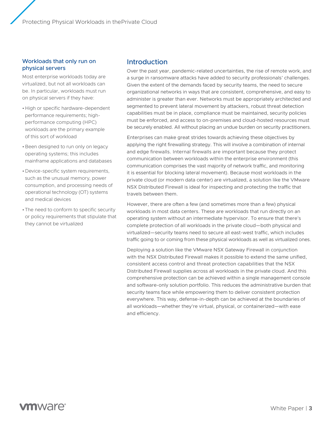<span id="page-2-0"></span>Protecting Physical Workloads in thePrivate Cloud

#### Workloads that only run on physical servers

Most enterprise workloads today are virtualized, but not all workloads can be. In particular, workloads must run on physical servers if they have:

- •High or specific hardware-dependent performance requirements; highperformance computing (HPC) workloads are the primary example of this sort of workload
- •Been designed to run only on legacy operating systems; this includes mainframe applications and databases
- •Device-specific system requirements, such as the unusual memory, power consumption, and processing needs of operational technology (OT) systems and medical devices
- •The need to conform to specific security or policy requirements that stipulate that they cannot be virtualized

## Introduction

Over the past year, pandemic-related uncertainties, the rise of remote work, and a surge in ransomware attacks have added to security professionals' challenges. Given the extent of the demands faced by security teams, the need to secure organizational networks in ways that are consistent, comprehensive, and easy to administer is greater than ever. Networks must be appropriately architected and segmented to prevent lateral movement by attackers, robust threat detection capabilities must be in place, compliance must be maintained, security policies must be enforced, and access to on-premises and cloud-hosted resources must be securely enabled. All without placing an undue burden on security practitioners.

Enterprises can make great strides towards achieving these objectives by applying the right firewalling strategy. This will involve a combination of internal and edge firewalls. Internal firewalls are important because they protect communication between workloads within the enterprise environment (this communication comprises the vast majority of network traffic, and monitoring it is essential for blocking lateral movement). Because most workloads in the private cloud (or modern data center) are virtualized, a solution like the VMware NSX Distributed Firewall is ideal for inspecting and protecting the traffic that travels between them.

However, there are often a few (and sometimes more than a few) physical workloads in most data centers. These are workloads that run directly on an operating system without an intermediate hypervisor. To ensure that there's complete protection of all workloads in the private cloud—both physical and virtualized—security teams need to secure all east-west traffic, which includes traffic going to or coming from these physical workloads as well as virtualized ones.

Deploying a solution like the VMware NSX Gateway Firewall in conjunction with the NSX Distributed Firewall makes it possible to extend the same unified, consistent access control and threat protection capabilities that the NSX Distributed Firewall supplies across all workloads in the private cloud. And this comprehensive protection can be achieved within a single management console and software-only solution portfolio. This reduces the administrative burden that security teams face while empowering them to deliver consistent protection everywhere. This way, defense-in-depth can be achieved at the boundaries of all workloads—whether they're virtual, physical, or containerized—with ease and efficiency.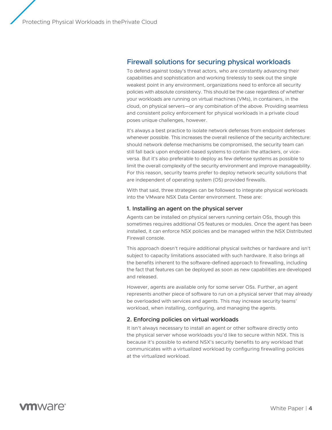## <span id="page-3-0"></span>Firewall solutions for securing physical workloads

To defend against today's threat actors, who are constantly advancing their capabilities and sophistication and working tirelessly to seek out the single weakest point in any environment, organizations need to enforce all security policies with absolute consistency. This should be the case regardless of whether your workloads are running on virtual machines (VMs), in containers, in the cloud, on physical servers—or any combination of the above. Providing seamless and consistent policy enforcement for physical workloads in a private cloud poses unique challenges, however.

It's always a best practice to isolate network defenses from endpoint defenses whenever possible. This increases the overall resilience of the security architecture: should network defense mechanisms be compromised, the security team can still fall back upon endpoint-based systems to contain the attackers, or viceversa. But it's also preferable to deploy as few defense systems as possible to limit the overall complexity of the security environment and improve manageability. For this reason, security teams prefer to deploy network security solutions that are independent of operating system (OS) provided firewalls.

With that said, three strategies can be followed to integrate physical workloads into the VMware NSX Data Center environment. These are:

#### 1. Installing an agent on the physical server

Agents can be installed on physical servers running certain OSs, though this sometimes requires additional OS features or modules. Once the agent has been installed, it can enforce NSX policies and be managed within the NSX Distributed Firewall console.

This approach doesn't require additional physical switches or hardware and isn't subject to capacity limitations associated with such hardware. It also brings all the benefits inherent to the software-defined approach to firewalling, including the fact that features can be deployed as soon as new capabilities are developed and released.

However, agents are available only for some server OSs. Further, an agent represents another piece of software to run on a physical server that may already be overloaded with services and agents. This may increase security teams' workload, when installing, configuring, and managing the agents.

### 2. Enforcing policies on virtual workloads

It isn't always necessary to install an agent or other software directly onto the physical server whose workloads you'd like to secure within NSX. This is because it's possible to extend NSX's security benefits to any workload that communicates with a virtualized workload by configuring firewalling policies at the virtualized workload.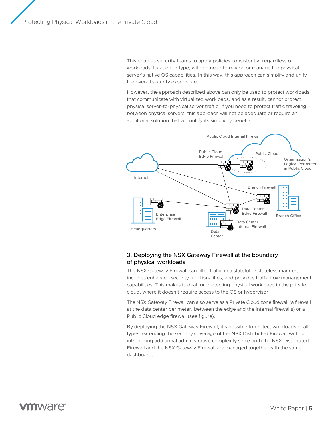This enables security teams to apply policies consistently, regardless of workloads' location or type, with no need to rely on or manage the physical server's native OS capabilities. In this way, this approach can simplify and unify the overall security experience.

However, the approach described above can only be used to protect workloads that communicate with virtualized workloads, and as a result, cannot protect physical server-to-physical server traffic. If you need to protect traffic traveling between physical servers, this approach will not be adequate or require an additional solution that will nullify its simplicity benefits.



### 3. Deploying the NSX Gateway Firewall at the boundary of physical workloads

The NSX Gateway Firewall can filter traffic in a stateful or stateless manner, includes enhanced security functionalities, and provides traffic flow management capabilities. This makes it ideal for protecting physical workloads in the private cloud, where it doesn't require access to the OS or hypervisor.

The NSX Gateway Firewall can also serve as a Private Cloud zone firewall (a firewall at the data center perimeter, between the edge and the internal firewalls) or a Public Cloud edge firewall (see figure).

By deploying the NSX Gateway Firewall, it's possible to protect workloads of all types, extending the security coverage of the NSX Distributed Firewall without introducing additional administrative complexity since both the NSX Distributed Firewall and the NSX Gateway Firewall are managed together with the same dashboard.

# *mware*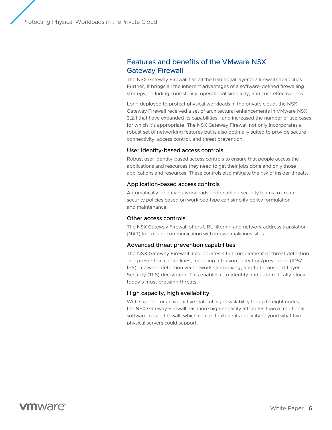## <span id="page-5-0"></span>Features and benefits of the VMware NSX Gateway Firewall

The NSX Gateway Firewall has all the traditional layer 2-7 firewall capabilities. Further, it brings all the inherent advantages of a software-defined firewalling strategy, including consistency, operational simplicity, and cost-effectiveness.

Long deployed to protect physical workloads in the private cloud, the NSX Gateway Firewall received a set of architectural enhancements in VMware NSX 3.2.1 that have expanded its capabilities—and increased the number of use cases for which it's appropriate. The NSX Gateway Firewall not only incorporates a robust set of networking features but is also optimally suited to provide secure connectivity, access control, and threat prevention.

#### User identity-based access controls

Robust user identity-based access controls to ensure that people access the applications and resources they need to get their jobs done and only those applications and resources. These controls also mitigate the risk of insider threats.

#### Application-based access controls

Automatically identifying workloads and enabling security teams to create security policies based on workload type can simplify policy formulation and maintenance.

#### Other access controls

The NSX Gateway Firewall offers URL filtering and network address translation (NAT) to exclude communication with known malicious sites.

#### Advanced threat prevention capabilities

The NSX Gateway Firewall incorporates a full complement of threat detection and prevention capabilities, including intrusion detection/prevention (IDS/ IPS), malware detection via network sandboxing, and full Transport Layer Security (TLS) decryption. This enables it to identify and automatically block today's most pressing threats.

#### High capacity, high availability

With support for active-active stateful high availability for up to eight nodes, the NSX Gateway Firewall has more high-capacity attributes than a traditional software-based firewall, which couldn't extend its capacity beyond what two physical servers could support.

# **vm**ware<sup>®</sup>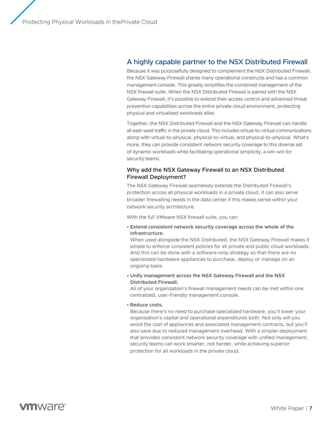### <span id="page-6-0"></span>A highly capable partner to the NSX Distributed Firewall

Because it was purposefully designed to complement the NSX Distributed Firewall, the NSX Gateway Firewall shares many operational constructs and has a common management console. This greatly simplifies the combined management of the NSX firewall suite. When the NSX Distributed Firewall is paired with the NSX Gateway Firewall, it's possible to extend their access control and advanced threat prevention capabilities across the entire private cloud environment, protecting physical and virtualized workloads alike.

Together, the NSX Distributed Firewall and the NSX Gateway Firewall can handle all east-west traffic in the private cloud. This includes virtual-to-virtual communications along with virtual-to-physical, physical-to-virtual, and physical-to-physical. What's more, they can provide consistent network security coverage to this diverse set of dynamic workloads while facilitating operational simplicity, a win-win for security teams.

#### Why add the NSX Gateway Firewall to an NSX Distributed Firewall Deployment?

The NSX Gateway Firewall seamlessly extends the Distributed Firewall's protection across all physical workloads in a private cloud. It can also serve broader firewalling needs in the data center if this makes sense within your network security architecture.

With the full VMware NSX firewall suite, you can:

**• Extend consistent network security coverage across the whole of the infrastructure.**

When used alongside the NSX Distributed, the NSX Gateway Firewall makes it simple to enforce consistent policies for all private and public cloud workloads. And this can be done with a software-only strategy so that there are no specialized hardware appliances to purchase, deploy or manage on an ongoing basis.

**• Unify management across the NSX Gateway Firewall and the NSX Distributed Firewall.**

All of your organization's firewall management needs can be met within one centralized, user-friendly management console.

**• Reduce costs.**

Because there's no need to purchase specialized hardware, you'll lower your organization's capital and operational expenditures both. Not only will you avoid the cost of appliances and associated management contracts, but you'll also save due to reduced management overhead. With a simpler deployment that provides consistent network security coverage with unified management, security teams can work smarter, not harder, while achieving superior protection for all workloads in the private cloud.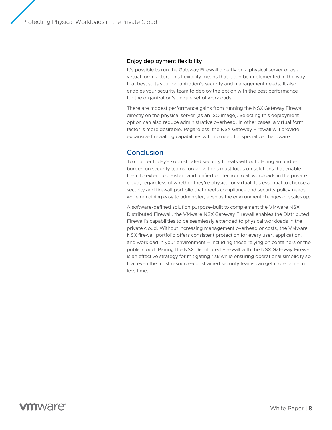#### <span id="page-7-0"></span>Enjoy deployment flexibility

It's possible to run the Gateway Firewall directly on a physical server or as a virtual form factor. This flexibility means that it can be implemented in the way that best suits your organization's security and management needs. It also enables your security team to deploy the option with the best performance for the organization's unique set of workloads.

There are modest performance gains from running the NSX Gateway Firewall directly on the physical server (as an ISO image). Selecting this deployment option can also reduce administrative overhead. In other cases, a virtual form factor is more desirable. Regardless, the NSX Gateway Firewall will provide expansive firewalling capabilities with no need for specialized hardware.

### **Conclusion**

To counter today's sophisticated security threats without placing an undue burden on security teams, organizations must focus on solutions that enable them to extend consistent and unified protection to all workloads in the private cloud, regardless of whether they're physical or virtual. It's essential to choose a security and firewall portfolio that meets compliance and security policy needs while remaining easy to administer, even as the environment changes or scales up.

A software-defined solution purpose-built to complement the VMware NSX Distributed Firewall, the VMware NSX Gateway Firewall enables the Distributed Firewall's capabilities to be seamlessly extended to physical workloads in the private cloud. Without increasing management overhead or costs, the VMware NSX firewall portfolio offers consistent protection for every user, application, and workload in your environment – including those relying on containers or the public cloud. Pairing the NSX Distributed Firewall with the NSX Gateway Firewall is an effective strategy for mitigating risk while ensuring operational simplicity so that even the most resource-constrained security teams can get more done in less time.

# **vm**ware<sup>®</sup>